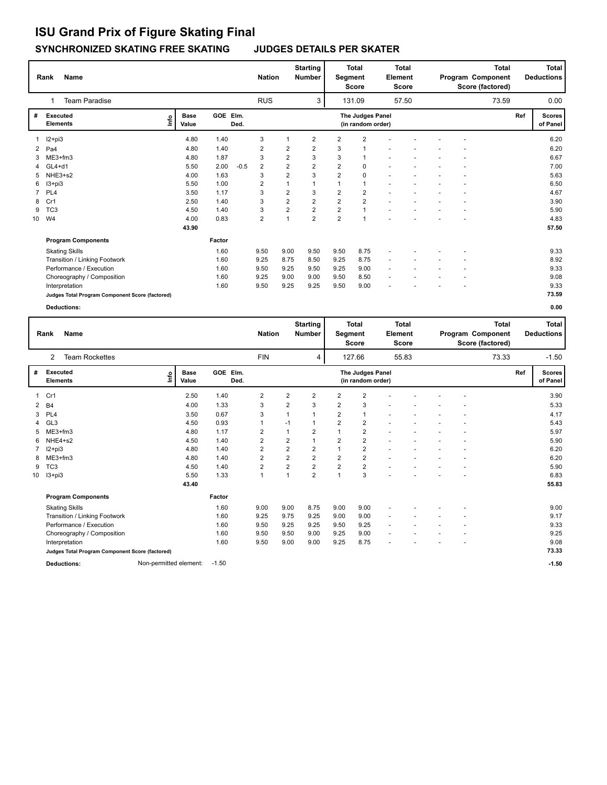## **SYNCHRONIZED SKATING FREE SKATING JUDGES DETAILS PER SKATER ISU Grand Prix of Figure Skating Final**

|    | <b>Name</b><br>Rank                             |                              |          |        | <b>Nation</b>           |                | <b>Starting</b><br><b>Number</b> |                | <b>Total</b><br>Segment<br><b>Score</b> |                          | Total<br>Element<br><b>Score</b> |  | <b>Total</b><br>Program Component<br>Score (factored) |       |     | <b>Total</b><br><b>Deductions</b> |
|----|-------------------------------------------------|------------------------------|----------|--------|-------------------------|----------------|----------------------------------|----------------|-----------------------------------------|--------------------------|----------------------------------|--|-------------------------------------------------------|-------|-----|-----------------------------------|
|    | <b>Team Paradise</b><br>1                       |                              |          |        | <b>RUS</b>              |                | 3                                |                | 131.09                                  |                          | 57.50                            |  |                                                       | 73.59 |     | 0.00                              |
| #  | Executed<br><b>Elements</b>                     | <b>Base</b><br>١mfo<br>Value | GOE Elm. | Ded.   |                         |                |                                  |                | The Judges Panel<br>(in random order)   |                          |                                  |  |                                                       |       | Ref | <b>Scores</b><br>of Panel         |
|    | $12+pi3$                                        | 4.80                         | 1.40     |        | 3                       |                | $\overline{2}$                   | $\overline{2}$ | $\overline{2}$                          |                          |                                  |  |                                                       |       |     | 6.20                              |
| 2  | Pa <sub>4</sub>                                 | 4.80                         | 1.40     |        | $\overline{\mathbf{c}}$ | 2              | 2                                | 3              |                                         |                          |                                  |  |                                                       |       |     | 6.20                              |
| 3  | ME3+fm3                                         | 4.80                         | 1.87     |        | 3                       | $\overline{2}$ | 3                                | 3              | $\mathbf 1$                             |                          |                                  |  |                                                       |       |     | 6.67                              |
| 4  | $GL4+d1$                                        | 5.50                         | 2.00     | $-0.5$ | $\overline{2}$          | $\overline{2}$ | $\overline{2}$                   | $\overline{2}$ | 0                                       |                          |                                  |  |                                                       |       |     | 7.00                              |
| 5  | NHE3+s2                                         | 4.00                         | 1.63     |        | 3                       | $\overline{2}$ | 3                                | 2              | $\mathbf 0$                             |                          |                                  |  |                                                       |       |     | 5.63                              |
| 6  | $13 + pi3$                                      | 5.50                         | 1.00     |        | $\overline{2}$          | 1              | 1                                | $\mathbf{1}$   | $\overline{1}$                          |                          |                                  |  |                                                       |       |     | 6.50                              |
| 7  | PL <sub>4</sub>                                 | 3.50                         | 1.17     |        | 3                       | $\overline{2}$ | 3                                | $\overline{2}$ | $\overline{2}$                          |                          |                                  |  |                                                       |       |     | 4.67                              |
| 8  | Cr1                                             | 2.50                         | 1.40     |        | 3                       | $\overline{2}$ | $\overline{2}$                   | $\overline{2}$ | $\overline{2}$                          |                          |                                  |  |                                                       |       |     | 3.90                              |
| 9  | TC <sub>3</sub>                                 | 4.50                         | 1.40     |        | 3                       | $\overline{2}$ | $\overline{2}$                   | $\overline{2}$ | $\overline{1}$                          |                          |                                  |  |                                                       |       |     | 5.90                              |
| 10 | W <sub>4</sub>                                  | 4.00                         | 0.83     |        | $\overline{\mathbf{c}}$ | $\overline{1}$ | $\overline{2}$                   | $\overline{2}$ | $\overline{1}$                          |                          |                                  |  |                                                       |       |     | 4.83                              |
|    |                                                 | 43.90                        |          |        |                         |                |                                  |                |                                         |                          |                                  |  |                                                       |       |     | 57.50                             |
|    | <b>Program Components</b>                       |                              | Factor   |        |                         |                |                                  |                |                                         |                          |                                  |  |                                                       |       |     |                                   |
|    | <b>Skating Skills</b>                           |                              | 1.60     |        | 9.50                    | 9.00           | 9.50                             | 9.50           | 8.75                                    |                          |                                  |  |                                                       |       |     | 9.33                              |
|    | Transition / Linking Footwork                   |                              | 1.60     |        | 9.25                    | 8.75           | 8.50                             | 9.25           | 8.75                                    |                          |                                  |  |                                                       |       |     | 8.92                              |
|    | Performance / Execution                         |                              | 1.60     |        | 9.50                    | 9.25           | 9.50                             | 9.25           | 9.00                                    | $\overline{\phantom{a}}$ |                                  |  |                                                       |       |     | 9.33                              |
|    | Choreography / Composition                      |                              | 1.60     |        | 9.25                    | 9.00           | 9.00                             | 9.50           | 8.50                                    |                          |                                  |  |                                                       |       |     | 9.08                              |
|    | Interpretation                                  |                              | 1.60     |        | 9.50                    | 9.25           | 9.25                             | 9.50           | 9.00                                    |                          |                                  |  |                                                       |       |     | 9.33                              |
|    | Judges Total Program Component Score (factored) |                              |          |        |                         |                |                                  |                |                                         |                          |                                  |  |                                                       |       |     | 73.59                             |
|    | <b>Deductions:</b>                              |                              |          |        |                         |                |                                  |                |                                         |                          |                                  |  |                                                       |       |     | 0.00                              |

| <b>Name</b><br>Rank |                             |                                                 |                        |                      |                  |                | <b>Starting</b><br><b>Nation</b><br><b>Number</b> |                |                | <b>Total</b><br>Segment<br><b>Score</b> |                | <b>Total</b><br><b>Element</b><br><b>Score</b> |  | <b>Total</b><br>Program Component<br>Score (factored) |       |     | <b>Total</b><br><b>Deductions</b> |
|---------------------|-----------------------------|-------------------------------------------------|------------------------|----------------------|------------------|----------------|---------------------------------------------------|----------------|----------------|-----------------------------------------|----------------|------------------------------------------------|--|-------------------------------------------------------|-------|-----|-----------------------------------|
|                     | 2                           | <b>Team Rockettes</b>                           |                        |                      |                  | <b>FIN</b>     |                                                   | 4              |                | 127.66                                  |                | 55.83                                          |  |                                                       | 73.33 |     | $-1.50$                           |
| #                   | Executed<br><b>Elements</b> |                                                 | ١nfo                   | <b>Base</b><br>Value | GOE Elm.<br>Ded. |                |                                                   |                |                | The Judges Panel<br>(in random order)   |                |                                                |  |                                                       |       | Ref | <b>Scores</b><br>of Panel         |
|                     | 1 Cr1                       |                                                 |                        | 2.50                 | 1.40             | 2              | 2                                                 | 2              | 2              | $\overline{2}$                          |                |                                                |  |                                                       |       |     | 3.90                              |
|                     | 2 B4                        |                                                 |                        | 4.00                 | 1.33             | 3              | 2                                                 | 3              | $\overline{2}$ | 3                                       |                |                                                |  |                                                       |       |     | 5.33                              |
| 3                   | PL <sub>4</sub>             |                                                 |                        | 3.50                 | 0.67             | 3              |                                                   | 1              | $\overline{2}$ | $\mathbf{1}$                            |                |                                                |  |                                                       |       |     | 4.17                              |
| 4                   | GL3                         |                                                 |                        | 4.50                 | 0.93             | $\mathbf{1}$   | $-1$                                              | 1              | $\overline{2}$ | $\overline{2}$                          |                |                                                |  |                                                       |       |     | 5.43                              |
| 5                   | ME3+fm3                     |                                                 |                        | 4.80                 | 1.17             | 2              | 1                                                 | 2              |                | 2                                       |                |                                                |  |                                                       |       |     | 5.97                              |
| 6                   | NHE4+s2                     |                                                 |                        | 4.50                 | 1.40             | $\overline{2}$ | $\overline{\mathbf{c}}$                           |                | 2              | $\overline{2}$                          |                |                                                |  |                                                       |       |     | 5.90                              |
| 7                   | $12+pi3$                    |                                                 |                        | 4.80                 | 1.40             | $\overline{2}$ | 2                                                 | 2              |                | $\overline{\mathbf{c}}$                 |                |                                                |  |                                                       |       |     | 6.20                              |
| 8                   | ME3+fm3                     |                                                 |                        | 4.80                 | 1.40             | $\overline{2}$ | $\overline{2}$                                    | $\overline{2}$ | $\overline{2}$ | $\overline{2}$                          |                |                                                |  |                                                       |       |     | 6.20                              |
| 9                   | TC <sub>3</sub>             |                                                 |                        | 4.50                 | 1.40             | $\overline{2}$ | $\overline{2}$                                    | $\overline{2}$ | $\overline{2}$ | $\overline{2}$                          |                |                                                |  |                                                       |       |     | 5.90                              |
| 10                  | I3+pi3                      |                                                 |                        | 5.50                 | 1.33             | $\mathbf{1}$   | 1                                                 | $\overline{2}$ | $\mathbf{1}$   | 3                                       |                |                                                |  |                                                       |       |     | 6.83                              |
|                     |                             |                                                 |                        | 43.40                |                  |                |                                                   |                |                |                                         |                |                                                |  |                                                       |       |     | 55.83                             |
|                     |                             | <b>Program Components</b>                       |                        |                      | Factor           |                |                                                   |                |                |                                         |                |                                                |  |                                                       |       |     |                                   |
|                     |                             | <b>Skating Skills</b>                           |                        |                      | 1.60             | 9.00           | 9.00                                              | 8.75           | 9.00           | 9.00                                    |                |                                                |  |                                                       |       |     | 9.00                              |
|                     |                             | Transition / Linking Footwork                   |                        |                      | 1.60             | 9.25           | 9.75                                              | 9.25           | 9.00           | 9.00                                    |                |                                                |  |                                                       |       |     | 9.17                              |
|                     |                             | Performance / Execution                         |                        |                      | 1.60             | 9.50           | 9.25                                              | 9.25           | 9.50           | 9.25                                    | ٠              |                                                |  |                                                       |       |     | 9.33                              |
|                     |                             | Choreography / Composition                      |                        |                      | 1.60             | 9.50           | 9.50                                              | 9.00           | 9.25           | 9.00                                    | $\overline{a}$ |                                                |  |                                                       |       |     | 9.25                              |
|                     |                             | Interpretation                                  |                        |                      | 1.60             | 9.50           | 9.00                                              | 9.00           | 9.25           | 8.75                                    |                |                                                |  |                                                       |       |     | 9.08                              |
|                     |                             | Judges Total Program Component Score (factored) |                        |                      |                  |                |                                                   |                |                |                                         |                |                                                |  |                                                       |       |     | 73.33                             |
|                     |                             | <b>Deductions:</b>                              | Non-permitted element: |                      | $-1.50$          |                |                                                   |                |                |                                         |                |                                                |  |                                                       |       |     | $-1.50$                           |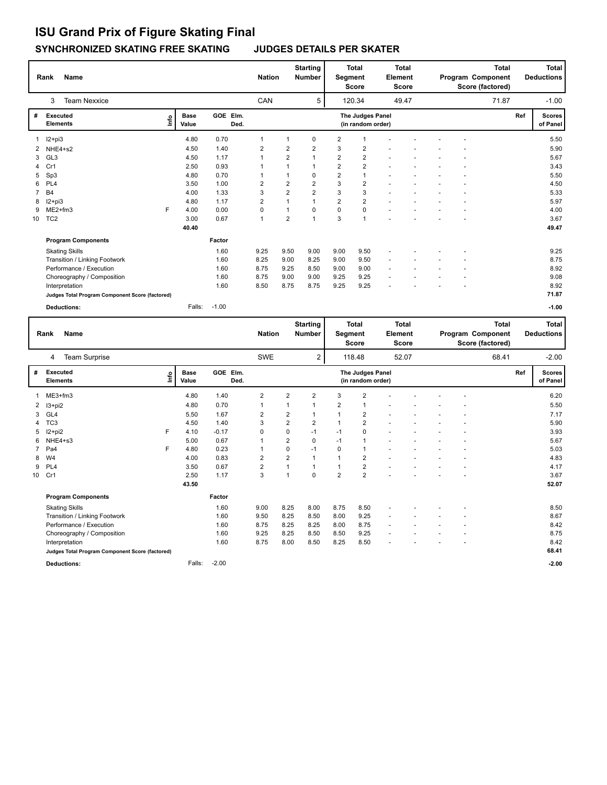## **SYNCHRONIZED SKATING FREE SKATING JUDGES DETAILS PER SKATER ISU Grand Prix of Figure Skating Final**

|    | <b>Name</b><br>Rank         |                                                 |    |                      |                  |                | <b>Starting</b><br><b>Nation</b><br><b>Number</b> |                |                | <b>Total</b><br>Segment<br><b>Score</b> |   | <b>Total</b><br><b>Element</b><br>Score |  | <b>Total</b><br>Program Component<br>Score (factored) |       |     | <b>Total</b><br><b>Deductions</b> |
|----|-----------------------------|-------------------------------------------------|----|----------------------|------------------|----------------|---------------------------------------------------|----------------|----------------|-----------------------------------------|---|-----------------------------------------|--|-------------------------------------------------------|-------|-----|-----------------------------------|
|    | 3                           | <b>Team Nexxice</b>                             |    |                      |                  | CAN            |                                                   | 5              |                | 120.34                                  |   | 49.47                                   |  |                                                       | 71.87 |     | $-1.00$                           |
| #  | Executed<br><b>Elements</b> |                                                 | ١m | <b>Base</b><br>Value | GOE Elm.<br>Ded. |                |                                                   |                |                | The Judges Panel<br>(in random order)   |   |                                         |  |                                                       |       | Ref | <b>Scores</b><br>of Panel         |
| 1  | I2+pi3                      |                                                 |    | 4.80                 | 0.70             | 1              |                                                   | 0              | 2              |                                         |   |                                         |  |                                                       |       |     | 5.50                              |
| 2  | NHE4+s2                     |                                                 |    | 4.50                 | 1.40             | $\overline{2}$ | 2                                                 | 2              | 3              | $\overline{2}$                          |   |                                         |  |                                                       |       |     | 5.90                              |
| 3  | GL3                         |                                                 |    | 4.50                 | 1.17             | 1              | $\overline{2}$                                    | $\mathbf{1}$   | $\overline{2}$ | $\overline{2}$                          |   |                                         |  |                                                       |       |     | 5.67                              |
| 4  | Cr1                         |                                                 |    | 2.50                 | 0.93             |                |                                                   | $\mathbf{1}$   | $\overline{2}$ | $\overline{2}$                          |   |                                         |  |                                                       |       |     | 3.43                              |
| 5  | Sp3                         |                                                 |    | 4.80                 | 0.70             |                |                                                   | 0              | $\overline{2}$ | $\mathbf{1}$                            |   |                                         |  |                                                       |       |     | 5.50                              |
| 6  | PL <sub>4</sub>             |                                                 |    | 3.50                 | 1.00             | $\overline{2}$ | 2                                                 | $\overline{2}$ | 3              | $\overline{2}$                          |   |                                         |  |                                                       |       |     | 4.50                              |
| 7  | <b>B4</b>                   |                                                 |    | 4.00                 | 1.33             | 3              | 2                                                 | $\overline{2}$ | 3              | 3                                       |   |                                         |  |                                                       |       |     | 5.33                              |
| 8  | $12+pi3$                    |                                                 |    | 4.80                 | 1.17             | $\overline{2}$ | $\mathbf{1}$                                      | $\mathbf{1}$   | $\overline{2}$ | $\overline{2}$                          |   |                                         |  |                                                       |       |     | 5.97                              |
| 9  | $ME2+fm3$                   |                                                 | F. | 4.00                 | 0.00             | $\mathbf 0$    |                                                   | 0              | $\mathbf 0$    | $\mathbf 0$                             |   |                                         |  |                                                       |       |     | 4.00                              |
| 10 | TC <sub>2</sub>             |                                                 |    | 3.00                 | 0.67             | $\overline{1}$ | $\overline{2}$                                    | $\overline{1}$ | 3              | $\mathbf{1}$                            |   |                                         |  |                                                       |       |     | 3.67                              |
|    |                             |                                                 |    | 40.40                |                  |                |                                                   |                |                |                                         |   |                                         |  |                                                       |       |     | 49.47                             |
|    |                             | <b>Program Components</b>                       |    |                      | Factor           |                |                                                   |                |                |                                         |   |                                         |  |                                                       |       |     |                                   |
|    | <b>Skating Skills</b>       |                                                 |    |                      | 1.60             | 9.25           | 9.50                                              | 9.00           | 9.00           | 9.50                                    |   |                                         |  |                                                       |       |     | 9.25                              |
|    |                             | Transition / Linking Footwork                   |    |                      | 1.60             | 8.25           | 9.00                                              | 8.25           | 9.00           | 9.50                                    |   |                                         |  |                                                       |       |     | 8.75                              |
|    |                             | Performance / Execution                         |    |                      | 1.60             | 8.75           | 9.25                                              | 8.50           | 9.00           | 9.00                                    | ٠ |                                         |  |                                                       |       |     | 8.92                              |
|    |                             | Choreography / Composition                      |    |                      | 1.60             | 8.75           | 9.00                                              | 9.00           | 9.25           | 9.25                                    | ٠ |                                         |  |                                                       |       |     | 9.08                              |
|    | Interpretation              |                                                 |    |                      | 1.60             | 8.50           | 8.75                                              | 8.75           | 9.25           | 9.25                                    |   |                                         |  |                                                       |       |     | 8.92                              |
|    |                             | Judges Total Program Component Score (factored) |    |                      |                  |                |                                                   |                |                |                                         |   |                                         |  |                                                       |       |     | 71.87                             |
|    | <b>Deductions:</b>          |                                                 |    | Falls:               | $-1.00$          |                |                                                   |                |                |                                         |   |                                         |  |                                                       |       |     | $-1.00$                           |

|    | Rank                        | <b>Name</b>                                     |                                                                                               |        |         | <b>Starting</b><br><b>Nation</b><br><b>Number</b> |                | <b>Total</b><br>Segment<br><b>Score</b> |                | <b>Total</b><br>Element<br><b>Score</b> |  |       | Program Component<br>Score (factored) | <b>Total</b><br><b>Deductions</b> |       |  |         |
|----|-----------------------------|-------------------------------------------------|-----------------------------------------------------------------------------------------------|--------|---------|---------------------------------------------------|----------------|-----------------------------------------|----------------|-----------------------------------------|--|-------|---------------------------------------|-----------------------------------|-------|--|---------|
|    | 4                           | Team Surprise                                   |                                                                                               |        |         | <b>SWE</b>                                        |                | 2                                       |                | 118.48                                  |  | 52.07 |                                       |                                   | 68.41 |  | $-2.00$ |
| #  | Executed<br><b>Elements</b> |                                                 | GOE Elm.<br>The Judges Panel<br><b>Base</b><br><b>L</b><br>Value<br>Ded.<br>(in random order) |        |         |                                                   | Ref            | <b>Scores</b><br>of Panel               |                |                                         |  |       |                                       |                                   |       |  |         |
| 1  | ME3+fm3                     |                                                 |                                                                                               | 4.80   | 1.40    | $\overline{2}$                                    | $\overline{2}$ | 2                                       | 3              | $\overline{2}$                          |  |       |                                       |                                   |       |  | 6.20    |
| 2  | I3+pi2                      |                                                 |                                                                                               | 4.80   | 0.70    | 1                                                 |                | 1                                       | $\overline{2}$ | $\mathbf 1$                             |  |       |                                       |                                   |       |  | 5.50    |
| 3  | GL4                         |                                                 |                                                                                               | 5.50   | 1.67    | 2                                                 | $\overline{2}$ | 1                                       | $\mathbf{1}$   | 2                                       |  |       |                                       |                                   |       |  | 7.17    |
| 4  | TC <sub>3</sub>             |                                                 |                                                                                               | 4.50   | 1.40    | 3                                                 | $\overline{2}$ | $\overline{2}$                          | $\mathbf{1}$   | $\overline{2}$                          |  |       |                                       |                                   |       |  | 5.90    |
| 5  | $12+pi2$                    |                                                 | F                                                                                             | 4.10   | $-0.17$ | 0                                                 | 0              | $-1$                                    | $-1$           | 0                                       |  |       |                                       |                                   |       |  | 3.93    |
| 6  | NHE4+s3                     |                                                 |                                                                                               | 5.00   | 0.67    |                                                   | $\overline{2}$ | 0                                       | $-1$           | $\mathbf{1}$                            |  |       |                                       |                                   |       |  | 5.67    |
|    | Pa4                         |                                                 | F                                                                                             | 4.80   | 0.23    |                                                   | 0              | $-1$                                    | 0              | $\mathbf{1}$                            |  |       |                                       |                                   |       |  | 5.03    |
| 8  | W <sub>4</sub>              |                                                 |                                                                                               | 4.00   | 0.83    | $\overline{2}$                                    | $\overline{2}$ | 1                                       | $\mathbf{1}$   | $\overline{2}$                          |  |       |                                       |                                   |       |  | 4.83    |
| 9  | PL <sub>4</sub>             |                                                 |                                                                                               | 3.50   | 0.67    | $\overline{2}$                                    | 1              | 1                                       |                | $\overline{2}$                          |  |       |                                       |                                   |       |  | 4.17    |
| 10 | Cr1                         |                                                 |                                                                                               | 2.50   | 1.17    | 3                                                 | $\overline{1}$ | $\Omega$                                | $\overline{2}$ | $\overline{2}$                          |  |       |                                       |                                   |       |  | 3.67    |
|    |                             |                                                 |                                                                                               | 43.50  |         |                                                   |                |                                         |                |                                         |  |       |                                       |                                   |       |  | 52.07   |
|    |                             | <b>Program Components</b>                       |                                                                                               |        | Factor  |                                                   |                |                                         |                |                                         |  |       |                                       |                                   |       |  |         |
|    |                             | <b>Skating Skills</b>                           |                                                                                               |        | 1.60    | 9.00                                              | 8.25           | 8.00                                    | 8.75           | 8.50                                    |  |       |                                       |                                   |       |  | 8.50    |
|    |                             | Transition / Linking Footwork                   |                                                                                               |        | 1.60    | 9.50                                              | 8.25           | 8.50                                    | 8.00           | 9.25                                    |  |       |                                       |                                   |       |  | 8.67    |
|    |                             | Performance / Execution                         |                                                                                               |        | 1.60    | 8.75                                              | 8.25           | 8.25                                    | 8.00           | 8.75                                    |  |       |                                       |                                   |       |  | 8.42    |
|    |                             | Choreography / Composition                      |                                                                                               |        | 1.60    | 9.25                                              | 8.25           | 8.50                                    | 8.50           | 9.25                                    |  |       |                                       |                                   |       |  | 8.75    |
|    |                             | Interpretation                                  |                                                                                               |        | 1.60    | 8.75                                              | 8.00           | 8.50                                    | 8.25           | 8.50                                    |  |       |                                       |                                   |       |  | 8.42    |
|    |                             | Judges Total Program Component Score (factored) |                                                                                               |        |         |                                                   |                |                                         |                |                                         |  |       |                                       |                                   |       |  | 68.41   |
|    |                             | <b>Deductions:</b>                              |                                                                                               | Falls: | $-2.00$ |                                                   |                |                                         |                |                                         |  |       |                                       |                                   |       |  | $-2.00$ |